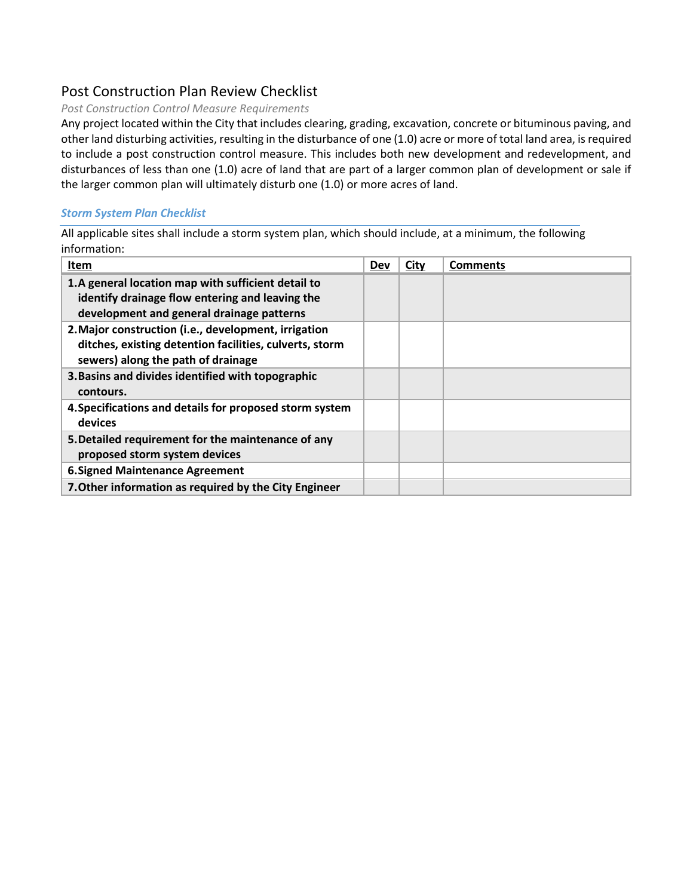# Post Construction Plan Review Checklist

#### *Post Construction Control Measure Requirements*

Any project located within the City that includes clearing, grading, excavation, concrete or bituminous paving, and other land disturbing activities, resulting in the disturbance of one (1.0) acre or more of total land area, is required to include a post construction control measure. This includes both new development and redevelopment, and disturbances of less than one (1.0) acre of land that are part of a larger common plan of development or sale if the larger common plan will ultimately disturb one (1.0) or more acres of land.

#### *Storm System Plan Checklist*

All applicable sites shall include a storm system plan, which should include, at a minimum, the following information:

| Item                                                                                                                                                  | Dev | City | <b>Comments</b> |
|-------------------------------------------------------------------------------------------------------------------------------------------------------|-----|------|-----------------|
| 1.A general location map with sufficient detail to<br>identify drainage flow entering and leaving the<br>development and general drainage patterns    |     |      |                 |
| 2. Major construction (i.e., development, irrigation<br>ditches, existing detention facilities, culverts, storm<br>sewers) along the path of drainage |     |      |                 |
| 3. Basins and divides identified with topographic<br>contours.                                                                                        |     |      |                 |
| 4. Specifications and details for proposed storm system<br>devices                                                                                    |     |      |                 |
| 5. Detailed requirement for the maintenance of any<br>proposed storm system devices                                                                   |     |      |                 |
| <b>6. Signed Maintenance Agreement</b>                                                                                                                |     |      |                 |
| 7. Other information as required by the City Engineer                                                                                                 |     |      |                 |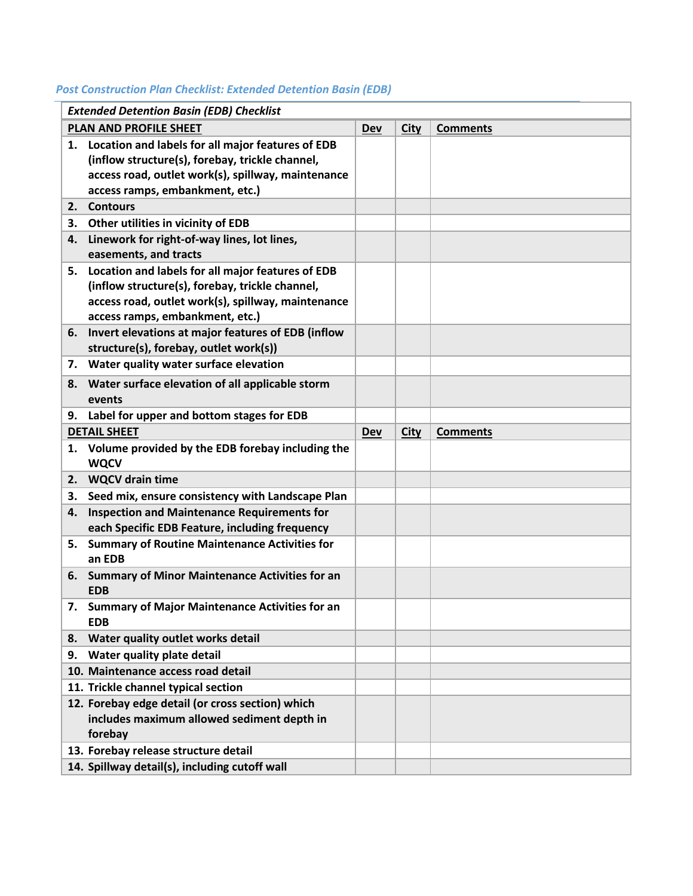# *Post Construction Plan Checklist: Extended Detention Basin (EDB)*

| <b>Extended Detention Basin (EDB) Checklist</b> |                                                                                                                                                                                                  |            |             |                 |
|-------------------------------------------------|--------------------------------------------------------------------------------------------------------------------------------------------------------------------------------------------------|------------|-------------|-----------------|
|                                                 | PLAN AND PROFILE SHEET                                                                                                                                                                           | Dev        | <b>City</b> | <b>Comments</b> |
|                                                 | 1. Location and labels for all major features of EDB<br>(inflow structure(s), forebay, trickle channel,<br>access road, outlet work(s), spillway, maintenance<br>access ramps, embankment, etc.) |            |             |                 |
|                                                 | 2. Contours                                                                                                                                                                                      |            |             |                 |
| 3.                                              | Other utilities in vicinity of EDB                                                                                                                                                               |            |             |                 |
| 4.                                              | Linework for right-of-way lines, lot lines,<br>easements, and tracts                                                                                                                             |            |             |                 |
| 5.                                              | Location and labels for all major features of EDB<br>(inflow structure(s), forebay, trickle channel,<br>access road, outlet work(s), spillway, maintenance<br>access ramps, embankment, etc.)    |            |             |                 |
| 6.                                              | Invert elevations at major features of EDB (inflow<br>structure(s), forebay, outlet work(s))                                                                                                     |            |             |                 |
|                                                 | 7. Water quality water surface elevation                                                                                                                                                         |            |             |                 |
| 8.                                              | Water surface elevation of all applicable storm<br>events                                                                                                                                        |            |             |                 |
| 9.                                              | Label for upper and bottom stages for EDB                                                                                                                                                        |            |             |                 |
|                                                 | <b>DETAIL SHEET</b>                                                                                                                                                                              | <b>Dev</b> | <b>City</b> | <b>Comments</b> |
|                                                 | 1. Volume provided by the EDB forebay including the<br><b>WQCV</b>                                                                                                                               |            |             |                 |
|                                                 | 2. WQCV drain time                                                                                                                                                                               |            |             |                 |
| 3.                                              | Seed mix, ensure consistency with Landscape Plan                                                                                                                                                 |            |             |                 |
| 4.                                              | <b>Inspection and Maintenance Requirements for</b><br>each Specific EDB Feature, including frequency                                                                                             |            |             |                 |
| 5.                                              | <b>Summary of Routine Maintenance Activities for</b><br>an EDB                                                                                                                                   |            |             |                 |
|                                                 | 6. Summary of Minor Maintenance Activities for an<br><b>EDB</b>                                                                                                                                  |            |             |                 |
| 7.                                              | <b>Summary of Major Maintenance Activities for an</b><br><b>EDB</b>                                                                                                                              |            |             |                 |
| 8.                                              | Water quality outlet works detail                                                                                                                                                                |            |             |                 |
| 9.                                              | Water quality plate detail                                                                                                                                                                       |            |             |                 |
|                                                 | 10. Maintenance access road detail                                                                                                                                                               |            |             |                 |
|                                                 | 11. Trickle channel typical section                                                                                                                                                              |            |             |                 |
|                                                 | 12. Forebay edge detail (or cross section) which<br>includes maximum allowed sediment depth in<br>forebay                                                                                        |            |             |                 |
|                                                 | 13. Forebay release structure detail                                                                                                                                                             |            |             |                 |
|                                                 | 14. Spillway detail(s), including cutoff wall                                                                                                                                                    |            |             |                 |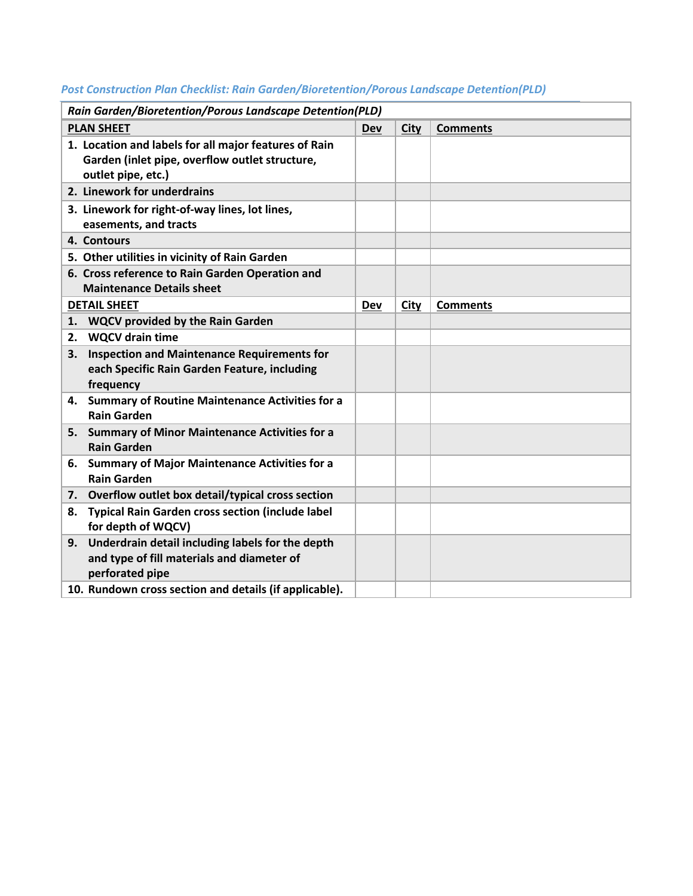| Rain Garden/Bioretention/Porous Landscape Detention(PLD)                                                                      |            |             |                 |
|-------------------------------------------------------------------------------------------------------------------------------|------------|-------------|-----------------|
| <b>PLAN SHEET</b>                                                                                                             | <b>Dev</b> | <b>City</b> | <b>Comments</b> |
| 1. Location and labels for all major features of Rain<br>Garden (inlet pipe, overflow outlet structure,<br>outlet pipe, etc.) |            |             |                 |
| 2. Linework for underdrains                                                                                                   |            |             |                 |
| 3. Linework for right-of-way lines, lot lines,<br>easements, and tracts                                                       |            |             |                 |
| 4. Contours                                                                                                                   |            |             |                 |
| 5. Other utilities in vicinity of Rain Garden                                                                                 |            |             |                 |
| 6. Cross reference to Rain Garden Operation and<br><b>Maintenance Details sheet</b>                                           |            |             |                 |
| <b>DETAIL SHEET</b>                                                                                                           | Dev        | <b>City</b> | <b>Comments</b> |
| 1. WQCV provided by the Rain Garden                                                                                           |            |             |                 |
| <b>WQCV</b> drain time<br>2.                                                                                                  |            |             |                 |
| <b>Inspection and Maintenance Requirements for</b><br>3.<br>each Specific Rain Garden Feature, including<br>frequency         |            |             |                 |
| <b>Summary of Routine Maintenance Activities for a</b><br>4.<br><b>Rain Garden</b>                                            |            |             |                 |
| <b>Summary of Minor Maintenance Activities for a</b><br>5.<br><b>Rain Garden</b>                                              |            |             |                 |
| <b>Summary of Major Maintenance Activities for a</b><br>6.<br><b>Rain Garden</b>                                              |            |             |                 |
| 7. Overflow outlet box detail/typical cross section                                                                           |            |             |                 |
| <b>Typical Rain Garden cross section (include label</b><br>8.<br>for depth of WQCV)                                           |            |             |                 |
| Underdrain detail including labels for the depth<br>9.<br>and type of fill materials and diameter of<br>perforated pipe       |            |             |                 |
| 10. Rundown cross section and details (if applicable).                                                                        |            |             |                 |

# *Post Construction Plan Checklist: Rain Garden/Bioretention/Porous Landscape Detention(PLD)*